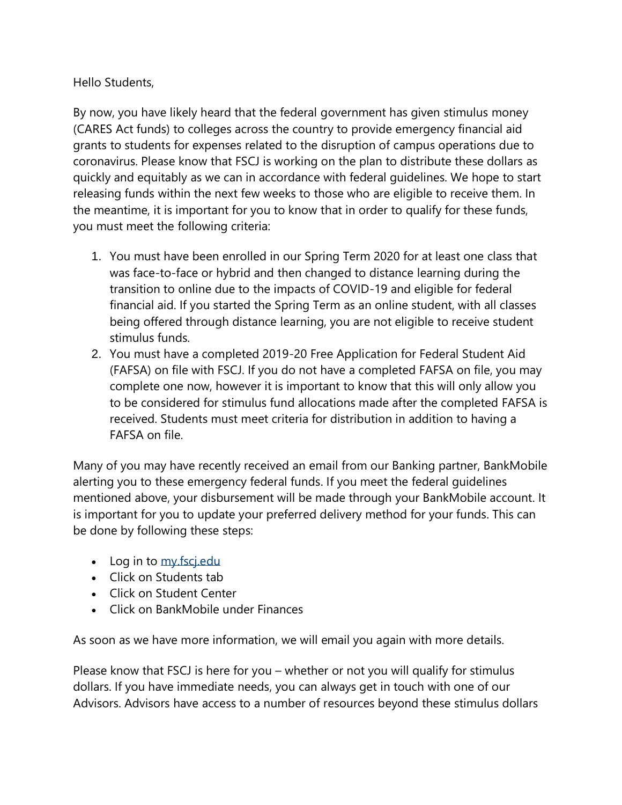Hello Students,

By now, you have likely heard that the federal government has given stimulus money (CARES Act funds) to colleges across the country to provide emergency financial aid grants to students for expenses related to the disruption of campus operations due to coronavirus. Please know that FSCJ is working on the plan to distribute these dollars as quickly and equitably as we can in accordance with federal guidelines. We hope to start releasing funds within the next few weeks to those who are eligible to receive them. In the meantime, it is important for you to know that in order to qualify for these funds, you must meet the following criteria:

- 1. You must have been enrolled in our Spring Term 2020 for at least one class that was face-to-face or hybrid and then changed to distance learning during the transition to online due to the impacts of COVID-19 and eligible for federal financial aid. If you started the Spring Term as an online student, with all classes being offered through distance learning, you are not eligible to receive student stimulus funds.
- 2. You must have a completed 2019-20 Free Application for Federal Student Aid (FAFSA) on file with FSCJ. If you do not have a completed FAFSA on file, you may complete one now, however it is important to know that this will only allow you to be considered for stimulus fund allocations made after the completed FAFSA is received. Students must meet criteria for distribution in addition to having a FAFSA on file.

Many of you may have recently received an email from our Banking partner, BankMobile alerting you to these emergency federal funds. If you meet the federal guidelines mentioned above, your disbursement will be made through your BankMobile account. It is important for you to update your preferred delivery method for your funds. This can be done by following these steps:

- Log in to my fscjedu
- Click on Students tab
- Click on Student Center
- Click on BankMobile under Finances

As soon as we have more information, we will email you again with more details.

Please know that FSCJ is here for you – whether or not you will qualify for stimulus dollars. If you have immediate needs, you can always get in touch with one of our Advisors. Advisors have access to a number of resources beyond these stimulus dollars